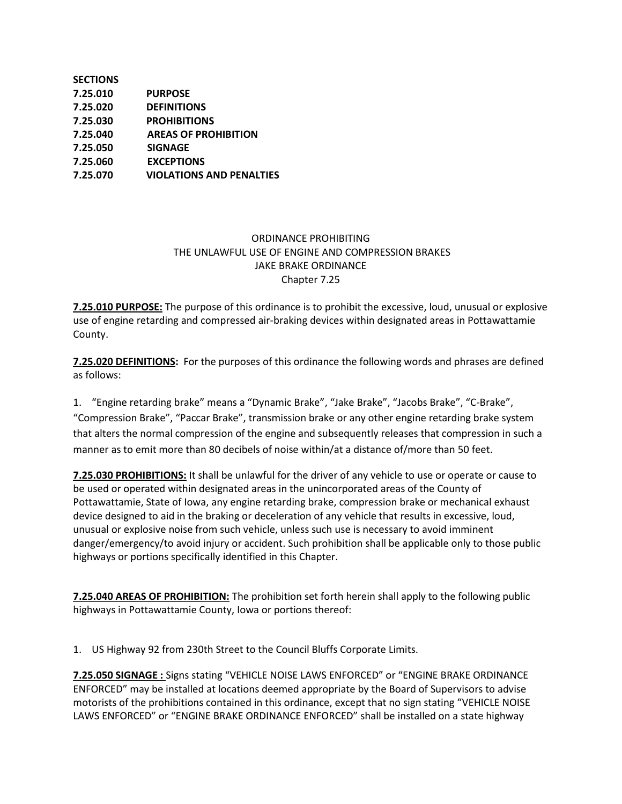| <b>SECTIONS</b> |                                 |
|-----------------|---------------------------------|
| 7.25.010        | <b>PURPOSE</b>                  |
| 7.25.020        | <b>DEFINITIONS</b>              |
| 7.25.030        | <b>PROHIBITIONS</b>             |
| 7.25.040        | <b>AREAS OF PROHIBITION</b>     |
| 7.25.050        | <b>SIGNAGE</b>                  |
| 7.25.060        | <b>EXCEPTIONS</b>               |
| 7.25.070        | <b>VIOLATIONS AND PENALTIES</b> |

## ORDINANCE PROHIBITING THE UNLAWFUL USE OF ENGINE AND COMPRESSION BRAKES JAKE BRAKE ORDINANCE Chapter 7.25

**7.25.010 PURPOSE:** The purpose of this ordinance is to prohibit the excessive, loud, unusual or explosive use of engine retarding and compressed air-braking devices within designated areas in Pottawattamie County.

**7.25.020 DEFINITIONS:** For the purposes of this ordinance the following words and phrases are defined as follows:

1. "Engine retarding brake" means a "Dynamic Brake", "Jake Brake", "Jacobs Brake", "C-Brake", "Compression Brake", "Paccar Brake", transmission brake or any other engine retarding brake system that alters the normal compression of the engine and subsequently releases that compression in such a manner as to emit more than 80 decibels of noise within/at a distance of/more than 50 feet.

**7.25.030 PROHIBITIONS:** It shall be unlawful for the driver of any vehicle to use or operate or cause to be used or operated within designated areas in the unincorporated areas of the County of Pottawattamie, State of Iowa, any engine retarding brake, compression brake or mechanical exhaust device designed to aid in the braking or deceleration of any vehicle that results in excessive, loud, unusual or explosive noise from such vehicle, unless such use is necessary to avoid imminent danger/emergency/to avoid injury or accident. Such prohibition shall be applicable only to those public highways or portions specifically identified in this Chapter.

**7.25.040 AREAS OF PROHIBITION:** The prohibition set forth herein shall apply to the following public highways in Pottawattamie County, Iowa or portions thereof:

1. US Highway 92 from 230th Street to the Council Bluffs Corporate Limits.

**7.25.050 SIGNAGE :** Signs stating "VEHICLE NOISE LAWS ENFORCED" or "ENGINE BRAKE ORDINANCE ENFORCED" may be installed at locations deemed appropriate by the Board of Supervisors to advise motorists of the prohibitions contained in this ordinance, except that no sign stating "VEHICLE NOISE LAWS ENFORCED" or "ENGINE BRAKE ORDINANCE ENFORCED" shall be installed on a state highway